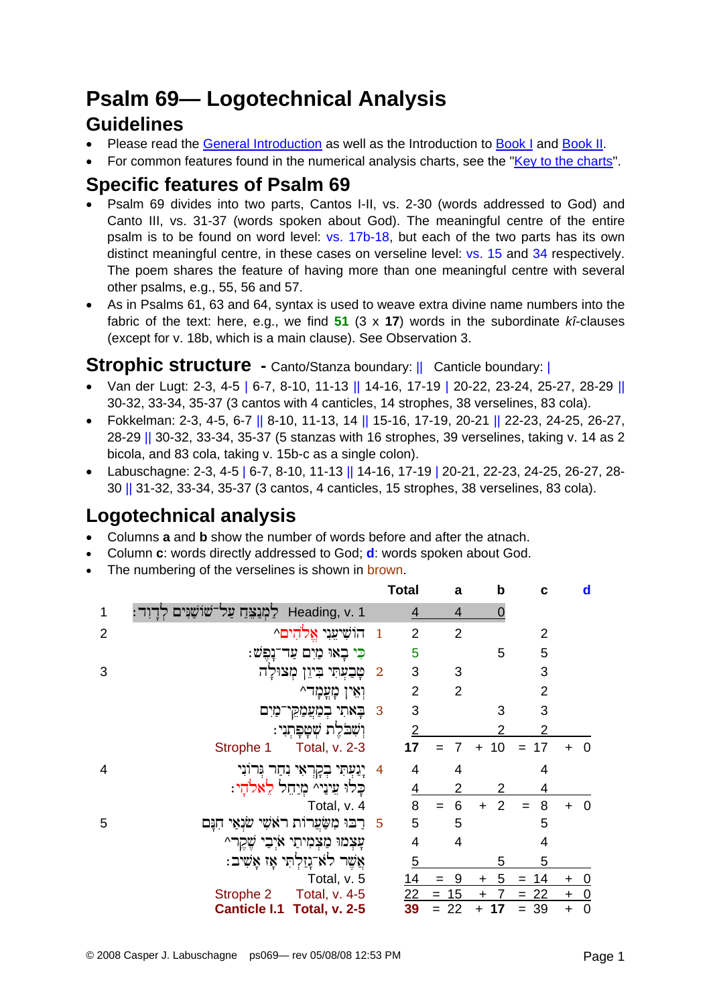# **Psalm 69— Logotechnical Analysis Guidelines**

- Please read the [General Introduction](http://www.labuschagne.nl/aspects.pdf) as well as the Introduction to [Book I](http://www.labuschagne.nl/intro1.pdf) and [Book II](http://www.labuschagne.nl/intro2.pdf).
- For common features found in the numerical analysis charts, see the "[Key to the charts](http://www.labuschagne.nl/keytocharts.pdf)".

### **Specific features of Psalm 69**

- Psalm 69 divides into two parts, Cantos I-II, vs. 2-30 (words addressed to God) and Canto III, vs. 31-37 (words spoken about God). The meaningful centre of the entire psalm is to be found on word level: vs. 17b-18, but each of the two parts has its own distinct meaningful centre, in these cases on verseline level: vs. 15 and 34 respectively. The poem shares the feature of having more than one meaningful centre with several other psalms, e.g., 55, 56 and 57.
- As in Psalms 61, 63 and 64, syntax is used to weave extra divine name numbers into the fabric of the text: here, e.g., we find **51** (3 x **17**) words in the subordinate *kî*-clauses (except for v. 18b, which is a main clause). See Observation 3.

#### **Strophic structure -** Canto/Stanza boundary: || Canticle boundary: ||

- Van der Lugt: 2-3, 4-5 | 6-7, 8-10, 11-13 || 14-16, 17-19 | 20-22, 23-24, 25-27, 28-29 || 30-32, 33-34, 35-37 (3 cantos with 4 canticles, 14 strophes, 38 verselines, 83 cola).
- Fokkelman: 2-3, 4-5, 6-7 || 8-10, 11-13, 14 || 15-16, 17-19, 20-21 || 22-23, 24-25, 26-27, 28-29 || 30-32, 33-34, 35-37 (5 stanzas with 16 strophes, 39 verselines, taking v. 14 as 2 bicola, and 83 cola, taking v. 15b-c as a single colon).
- Labuschagne: 2-3, 4-5 | 6-7, 8-10, 11-13 || 14-16, 17-19 | 20-21, 22-23, 24-25, 26-27, 28- 30 || 31-32, 33-34, 35-37 (3 cantos, 4 canticles, 15 strophes, 38 verselines, 83 cola).

## **Logotechnical analysis**

- Columns **a** and **b** show the number of words before and after the atnach.
- Column **c**: words directly addressed to God; **d**: words spoken about God.
- The numbering of the verselines is shown in brown.

|                |                                                  |                | <b>Total</b>   | a              | b               | C              | d                           |
|----------------|--------------------------------------------------|----------------|----------------|----------------|-----------------|----------------|-----------------------------|
| 1              | Heading, v. 1 לַמְנַצֵּחַ עַל־שׁוֹשָׁנִּים לְ    |                | 4              | 4              |                 |                |                             |
| $\overline{2}$ | הוֹשִׁיעִנִי אֱלֹהִים^                           | $\mathbf{1}$   | $\overline{2}$ | $\overline{2}$ |                 | $\overline{2}$ |                             |
|                | כִּי בָאוּ מַיִם עַד־נָפֵשׁ:                     |                | 5              |                | 5               | 5              |                             |
| 3              | טָּבָעְתִּי בִיוֵן מְצוּלָה                      | $\overline{2}$ | 3              | 3              |                 | 3              |                             |
|                | וְאֵין כְּזְצְכְּד^                              |                | $\overline{2}$ | $\overline{2}$ |                 | $\overline{2}$ |                             |
|                | באתי במַעֲמַקֵי־מַיִם                            | $\overline{3}$ | 3              |                | 3               | 3              |                             |
|                | וִשְׁבֹלֵת שִׁטַפְתְנִי:                         |                | $\overline{2}$ |                | 2               | 2              |                             |
|                | Total, v. 2-3<br>Strophe 1                       |                | 17             | 7<br>$=$       | 10<br>$\ddot{}$ | 17<br>$=$      | $\overline{0}$              |
| 4              | יָנַעְתִּי בְקְרָאִי נִחַר וְּרוֹנִי             | 4              | 4              | 4              |                 | 4              |                             |
|                | כֵּלוּ עֵינֵי^ מַיַחֵל לֵאלֹהי:                  |                | $\overline{4}$ |                |                 | 4              |                             |
|                | Total, v. 4                                      |                | 8              | 6              | 2<br>$\ddot{}$  | 8<br>$=$       | $\overline{0}$              |
| 5              | 5 - רַבוּ מִשַּׂעֲרוֹת ראֹשִׁי שׂנְאַי<br>חִנָּם |                | 5              | 5              |                 | 5              |                             |
|                | עָצְמוּ מַצְמִיתַי אַיְבָי שֶׁקֶר^               |                | 4              | 4              |                 | 4              |                             |
|                | אֲשֶׁר לא־נָזַלְתִּי אָז אָשִׁיב:                |                | 5              |                | 5               | 5              |                             |
|                | Total, v. 5                                      |                | 14             | 9<br>$=$       | 5<br>$\pm$      | 14<br>$=$      | <u>_0</u><br>$\ddot{}$      |
|                | Strophe 2<br>Total, v. 4-5                       |                | 22             | $= 15$         | 7<br>$\ddot{}$  | $= 22$         | $\overline{0}$<br>$\ddot{}$ |
|                | Canticle I.1 Total, v. 2-5                       |                | 39             | 22<br>$=$      | 17<br>+         | 39<br>$=$      | $\mathbf 0$<br>$\ddot{}$    |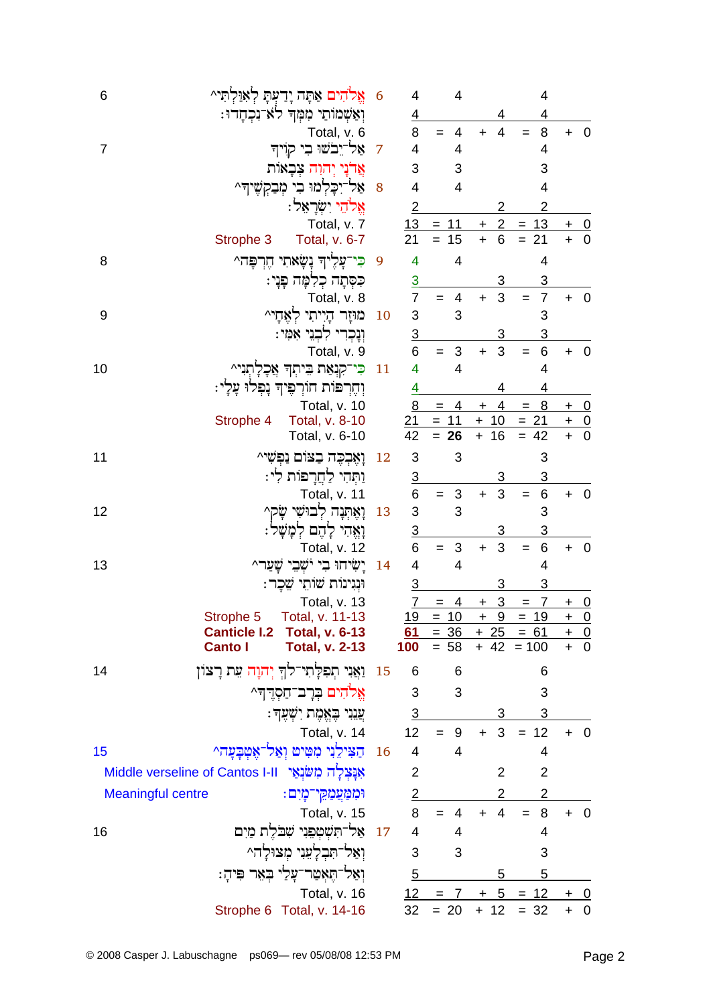| 6              |                                                       | אֱלֹהִים אַתָּה יָדַעְתָּ לְאִוַּלְתִּי^       | 6         | 4                        | 4                     |                                           | 4                                 |                                               |                          |
|----------------|-------------------------------------------------------|------------------------------------------------|-----------|--------------------------|-----------------------|-------------------------------------------|-----------------------------------|-----------------------------------------------|--------------------------|
|                |                                                       | וְאַשְׁמוֹתַי מִמְּךְ לֹא־נִכְחָדוּ:           |           | $\overline{4}$           |                       |                                           | 4                                 |                                               |                          |
|                |                                                       | Total, v. 6                                    |           | 8                        | 4                     | $\overline{4}$<br>$+$                     | 8<br>$=$                          | $+$                                           | $\overline{\mathbf{0}}$  |
| $\overline{7}$ |                                                       | אַל־יֵבֹשׁוּ בִי קוִיה                         | 7         | 4                        | 4                     |                                           | 4                                 |                                               |                          |
|                |                                                       | אֲדנַי יִהוָה צִבָאוֹת                         |           | 3                        | 3                     |                                           | 3                                 |                                               |                          |
|                |                                                       | אַל־יִכְלְמוּ בִי מְבַקְשֶׁיךָ^                | 8         | $\overline{\mathbf{4}}$  | 4                     |                                           | 4                                 |                                               |                          |
|                |                                                       | אֱלֹהֵי יִשְׂרָאֵל:                            |           | $\overline{2}$           |                       | 2                                         | $\overline{2}$                    |                                               |                          |
|                |                                                       | Total, v. 7                                    |           | 13                       | $= 11$                | $\overline{2}$<br>$\pm$                   | $= 13$                            | $+$                                           | <u>0</u>                 |
|                | Strophe 3                                             | Total, v. 6-7                                  |           | 21                       | 15<br>$=$             | 6<br>$\ddot{}$                            | 21<br>$=$                         | $\ddot{}$                                     | $\overline{0}$           |
| 8              | הֲרַפֶּה^                                             | כִּי־עָלֶיךָ נָשָׂאתִי                         | 9         | 4                        | 4                     |                                           | 4                                 |                                               |                          |
|                |                                                       | כִּסְתָה כְלִמָּה פָּנָי:                      |           | $\overline{3}$           |                       | 3                                         | 3                                 |                                               |                          |
|                |                                                       | Total, v. 8                                    |           | $\overline{7}$           | 4<br>$=$              | 3<br>$+$                                  | $\overline{7}$<br>$=$             | $+ 0$                                         |                          |
| 9              |                                                       | מוּזָר הָיִיתִי לְאֲחָי^                       | 10        | 3                        | 3                     |                                           | 3                                 |                                               |                          |
|                |                                                       | וִנַכְרִי לְבְנֵי אָמָי:                       |           | $\overline{3}$           |                       | 3                                         | 3                                 |                                               |                          |
|                |                                                       | Total, v. 9                                    |           | 6                        | $\sqrt{3}$<br>$=$     | 3<br>$\ddot{}$                            | $\,6$<br>$=$                      | +                                             | $\overline{\mathbf{0}}$  |
| 10             |                                                       | כִּי־קִנְאַת בֵּיתְךָ אֲכָלָתְנִי^             | 11        | 4                        | $\overline{4}$        |                                           | $\overline{4}$                    |                                               |                          |
|                |                                                       | וְחֵרְפּוֹת חוֹרְפִיךְ נָפְלוּ עָלָי:          |           | <u>4</u>                 |                       |                                           | 4                                 |                                               |                          |
|                |                                                       | Total, v. 10                                   |           | 8                        | $= 4$                 | 4<br>$\ddot{}$                            | 8<br>$\equiv$                     | $\ddot{}$                                     | $\overline{0}$           |
|                | Strophe 4                                             | Total, v. 8-10<br>Total, v. 6-10               |           | 21<br>42                 | $= 11$<br>$= 26$      | $+10$<br>16<br>$+$                        | $= 21$<br>$= 42$                  | $\begin{array}{c} + & 0 \\ + & 0 \end{array}$ |                          |
|                |                                                       |                                                |           |                          |                       |                                           |                                   |                                               |                          |
| 11             |                                                       | וָאֶבְכֵה בָצוֹם נַפִּשֵׁי^                    | 12        | 3                        | 3                     |                                           | 3                                 |                                               |                          |
|                |                                                       | וַתְּהִי לַחֲרָפּוֹת לִי:                      |           | $\frac{3}{6}$            |                       | 3                                         | 3                                 |                                               |                          |
|                |                                                       | Total, v. 11                                   |           |                          | $\mathbf{3}$<br>$=$   | 3<br>$\ddot{}$                            | $\,6$<br>$\qquad \qquad =$        | $\ddot{}$                                     | $\overline{\phantom{0}}$ |
| 12             |                                                       | וָאֱתְנָה לְבוּשִׁי שָׂק^                      | 13        | 3                        | 3                     |                                           | 3                                 |                                               |                          |
|                |                                                       | וָאֵהִי לָהֵם לִמָּשָׁל:                       |           | $\frac{3}{6}$            |                       | 3                                         | 3                                 |                                               |                          |
|                |                                                       | Total, v. 12                                   |           |                          | $\sqrt{3}$<br>$=$     | 3<br>$\ddot{}$                            | $\,6$<br>$=$                      | $\ddot{}$                                     | $\overline{\phantom{0}}$ |
| 13             |                                                       | יַשׂיחוּ בִי יֹשָׁבֵי שַׁעַר^                  | 14        | 4                        | 4                     |                                           | 4                                 |                                               |                          |
|                |                                                       | וּנְגִינוֹת שׁוֹתֵי שֵׁכָר:                    |           | $\overline{3}$           |                       | 3                                         | 3                                 |                                               |                          |
|                |                                                       | Total, v. 13                                   |           | $\overline{7}$<br>19     | $\overline{4}$<br>$=$ | $\overline{3}$<br>$\ddot{}$<br>$\ddot{+}$ | $\overline{7}$<br>$\!=$<br>$= 19$ | $+ 0$                                         | $\overline{0}$           |
|                | Strophe 5                                             | Total, v. 11-13<br>Canticle I.2 Total, v. 6-13 |           | <u>61</u>                | $= 10$                | 9<br>$= 36 + 25 = 61$                     |                                   | $\pm$                                         |                          |
|                | <b>Canto I</b>                                        | <b>Total, v. 2-13</b>                          |           | 100                      | $= 58$                |                                           | $+ 42 = 100$                      | $rac{+}{+}$ 0                                 |                          |
| 14             |                                                       | וַאֲנִי תִפִלְתִי־לֹךְ יְהוָה עֵת רָצוֹן       | 15        | 6                        | 6                     |                                           | 6                                 |                                               |                          |
|                |                                                       | אֵלֹהִים בְּרָב־חַסְרֶךְ^                      |           | 3                        | 3                     |                                           | 3                                 |                                               |                          |
|                |                                                       | ְעֲנִיִי בֶּאֱמֶת יִשְׁעָךָ:                   |           | $\overline{3}$           |                       |                                           | 3                                 |                                               |                          |
|                |                                                       | Total, v. 14                                   |           | 12                       | $= 9$                 | 3 <sup>1</sup><br>$+$                     | $= 12$                            | $+ 0$                                         |                          |
| 15             |                                                       | הַצִּילֵנִי מִטִּיט וְאַל־אֵטִבָּעָה^          | <b>16</b> | 4                        | $\overline{4}$        |                                           | $\overline{4}$                    |                                               |                          |
|                | אַנַּצְלָה מְשֹׂנְאֵי Middle verseline of Cantos I-II |                                                |           | $\overline{2}$           |                       | 2                                         | $\overline{2}$                    |                                               |                          |
|                |                                                       |                                                |           |                          |                       |                                           |                                   |                                               |                          |
|                | <b>Meaningful centre</b>                              | וּמִמַּעֲמַקִי־כָּוִים:                        |           | $\overline{2}$           |                       | 2                                         | $\overline{2}$                    |                                               |                          |
|                |                                                       | <b>Total, v. 15</b>                            |           | 8                        | 4<br>$=$              | $\overline{4}$<br>$+$                     | 8<br>$=$                          |                                               | $\overline{\mathbf{0}}$  |
| 16             |                                                       | 17 אַל־תְשָׁטְפֵנִי שָׁבֹלֶת מַיִם             |           | $\overline{\mathcal{A}}$ | 4                     |                                           | 4                                 |                                               |                          |
|                |                                                       | וְאַל־הָבִלָעֵנִי מִצוּלָה^                    |           | 3                        | 3                     |                                           | 3                                 |                                               |                          |
|                |                                                       | וְאַל־הֵאָטַר־עָלַי בְּאֵר פִּיהַ:             |           | $\overline{5}$           |                       | 5                                         | 5                                 |                                               |                          |
|                |                                                       | Total, v. 16                                   |           |                          | $12 = 7$              |                                           | $+ 5 = 12$                        | $+$ 0                                         |                          |
|                |                                                       | Strophe 6 Total, v. 14-16                      |           | 32                       | $= 20$                | $+ 12$                                    | $= 32$                            | $+ 0$                                         |                          |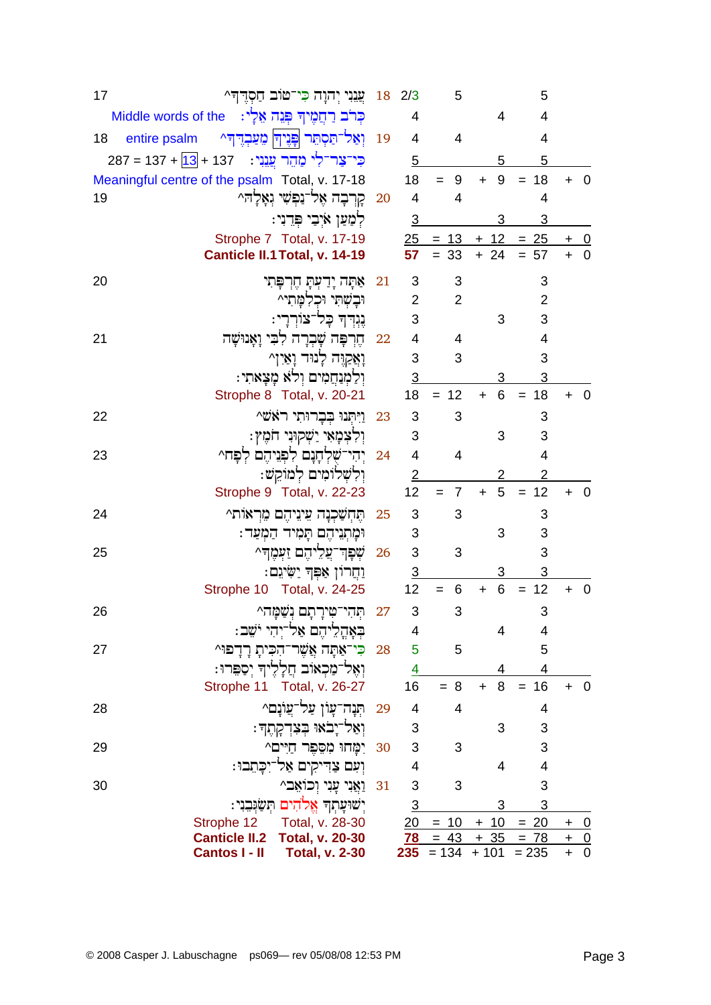| 17                  |               | 2/3   18   צֲנִנִי יְהוָה כִּי־טּוֹב חַסְרֶךְ^                        |    |                | 5                                        |                | 5              |                                                |             |
|---------------------|---------------|-----------------------------------------------------------------------|----|----------------|------------------------------------------|----------------|----------------|------------------------------------------------|-------------|
| Middle words of the |               | כְּרֹב רַחֲמֶיךָ פְּנֵה אֵלָי:                                        |    | 4              |                                          | 4              | 4              |                                                |             |
| 18<br>entire psalm  |               | וָאַל־תַּסְתֵּר פְּנֶיךָ מֵעַבְדֶדְרֹ                                 | 19 | 4              | 4                                        |                | $\overline{4}$ |                                                |             |
|                     |               | כִּי־צַר־לִי מַהֶר <u>עֲנִ</u> י:   137 + <mark>13</mark> + 137 = 287 |    | 5              |                                          | 5              | 5              |                                                |             |
|                     |               | Meaningful centre of the psalm Total, v. 17-18                        |    | 18             | 9<br>$=$                                 | 9<br>$+$       | 18<br>$=$      |                                                | 0           |
| 19                  |               | קְרָבָה אֶל־נַפְשִׁי וְאָלָהִ^                                        | 20 | $\overline{4}$ | 4                                        |                | 4              |                                                |             |
|                     |               | לִמַּעַן אֹיִבֵי פִּדֵנִי:                                            |    | $\overline{3}$ |                                          | 3              | 3              |                                                |             |
|                     |               | Strophe 7 Total, v. 17-19                                             |    |                | $25 = 13$                                |                | $+ 12 = 25$    | + 0                                            |             |
|                     |               | Canticle II.1 Total, v. 14-19                                         |    | 57             | $= 33$                                   | $+24$          | $= 57$         | $+ 0$                                          |             |
| 20                  |               | אָתָה יָדִעִּתָ חֵרִפָּתִי                                            | 21 | 3              | 3                                        |                | 3              |                                                |             |
|                     |               | וּבָשְׁתִּי וּכִלְמַתִּי^                                             |    | $\overline{2}$ | $\overline{2}$                           |                | $\overline{2}$ |                                                |             |
|                     |               | נֵגִדְךָ כָּל־צוֹרְרָי:                                               |    | 3              |                                          | 3              | 3              |                                                |             |
| 21                  |               | חֵרִפָּה שָׁבְרַה לִבִּי וַאֲנוּשָׁה                                  | 22 | 4              | 4                                        |                | 4              |                                                |             |
|                     |               | וָאֲקַיָּה לָנוּד וָאַיִן^                                            |    | 3              | 3                                        |                | 3              |                                                |             |
|                     |               | וְלַמְנַחֲמִים וְלֹא מָצָאתִי:                                        |    | 3              |                                          | 3              | 3              |                                                |             |
|                     |               | Strophe 8 Total, v. 20-21                                             |    | 18             | 12<br>$=$                                | 6<br>$\ddot{}$ | 18<br>$=$      |                                                | 0           |
| 22                  |               | וַיִּתְנוּ בִבְרוּתִי רֹאֹשׁ^                                         | 23 | 3              | 3                                        |                | 3              |                                                |             |
|                     |               | וִלְצִמַאִי יַשְׁקוּנִי חֹמֵץ:                                        |    | 3              |                                          | 3              | 3              |                                                |             |
| 23                  |               | יִהִי־שָׁלְחָנָם לִפְנֵיהֶם לִפָּח^                                   | 24 | 4              | 4                                        |                | $\overline{4}$ |                                                |             |
|                     |               | וִלְשָׁלוֹמִים לְמוֹקֵשׁ:                                             |    | 2              |                                          | 2              | $\overline{2}$ |                                                |             |
|                     |               | Strophe 9 Total, v. 22-23                                             |    | 12             | 7<br>$=$                                 | 5<br>$+$       | 12<br>$=$      | $\overline{0}$<br>$\ddot{}$                    |             |
| 24                  |               | תֵּחִשָּׁכִנָּה עֵינֵיהֵם מֵרִאוֹת^                                   | 25 | 3              | 3                                        |                | 3              |                                                |             |
|                     |               | וּמָתְנֵיהֶם תָּמִיד הַמָּעַד:                                        |    | 3              |                                          | 3              | 3              |                                                |             |
| 25                  |               | שְׁפְךְ־עֲלֵיהֶם זַעְמֶךָ^                                            | 26 | 3              | 3                                        |                | 3              |                                                |             |
|                     |               | ַיַּחֲרוֹן אַפִּךְ יַשִׂיגֵם:                                         |    | $\overline{3}$ |                                          | 3              | 3              |                                                |             |
|                     |               | Strophe 10 Total, v. 24-25                                            |    | 12             | 6                                        | 6<br>$+$       | 12             |                                                | $\mathbf 0$ |
| 26                  |               | תִּהִי־טִירָתָם נִשָּׁמָּה^                                           | 27 | 3              | 3                                        |                | 3              |                                                |             |
|                     |               | בְּאָהֲלֵיהֶם אַל־יְהִי יֹשֵׁב:                                       |    | 4              |                                          | $\overline{4}$ | 4              |                                                |             |
| 27                  |               | 28 כִּי־אַתָּה אֲשֶׁר־הָכִּיתָ רָדָפוּ^                               |    | 5              | 5                                        |                | 5              |                                                |             |
|                     |               | וְאֶל־מַכְאוֹב חֲלָלֶיךָ יְסַפִּרוּ:                                  |    | 4              |                                          | 4              | 4              |                                                |             |
|                     |               | Strophe 11 Total, v. 26-27                                            |    | 16             | $= 8$                                    | 8<br>$+$       | 16<br>$=$      | $+$<br>$\overline{\phantom{0}}$                |             |
| 28                  |               | ּתְּנָה־עָוֹן עַל־עֲוֹנֶם^                                            | 29 | 4              | 4                                        |                | 4              |                                                |             |
|                     |               | וִאַל־יָבֹאוּ בְּצִדְקָתֶךָ                                           |    | 3              |                                          | 3              | 3              |                                                |             |
| 29                  |               | יִמַּחוּ מִסֶפֶר חַיִּים^                                             | 30 | 3              | 3                                        |                | 3              |                                                |             |
|                     |               | וְעִם צַדִּיקִים אַל־יִכָּתֵבוּ:                                      |    | 4              |                                          | 4              | $\overline{4}$ |                                                |             |
| 30                  |               | 81 נַאֲנִי עֲנִי וְכוֹאֵב^                                            |    | 3              | 3                                        |                | 3              |                                                |             |
|                     |               | יְשׁוּעָתְךָ אֱלֹהִים תִּשַּׂוְּבִוִּי:                               |    | $\overline{3}$ |                                          | 3              | 3              |                                                |             |
|                     | Strophe 12    | Total, v. 28-30                                                       |    | 20             | $= 10$                                   | $+10$          | $= 20$         | $+ 0$                                          |             |
|                     | Cantos I - II | Canticle II.2 Total, v. 20-30<br><b>Total, v. 2-30</b>                |    |                | $78 = 43 + 35 = 78$<br>$235 = 134 + 101$ |                | $= 235$        | $+ 0$<br>$\overline{\phantom{0}}$<br>$\ddot{}$ |             |
|                     |               |                                                                       |    |                |                                          |                |                |                                                |             |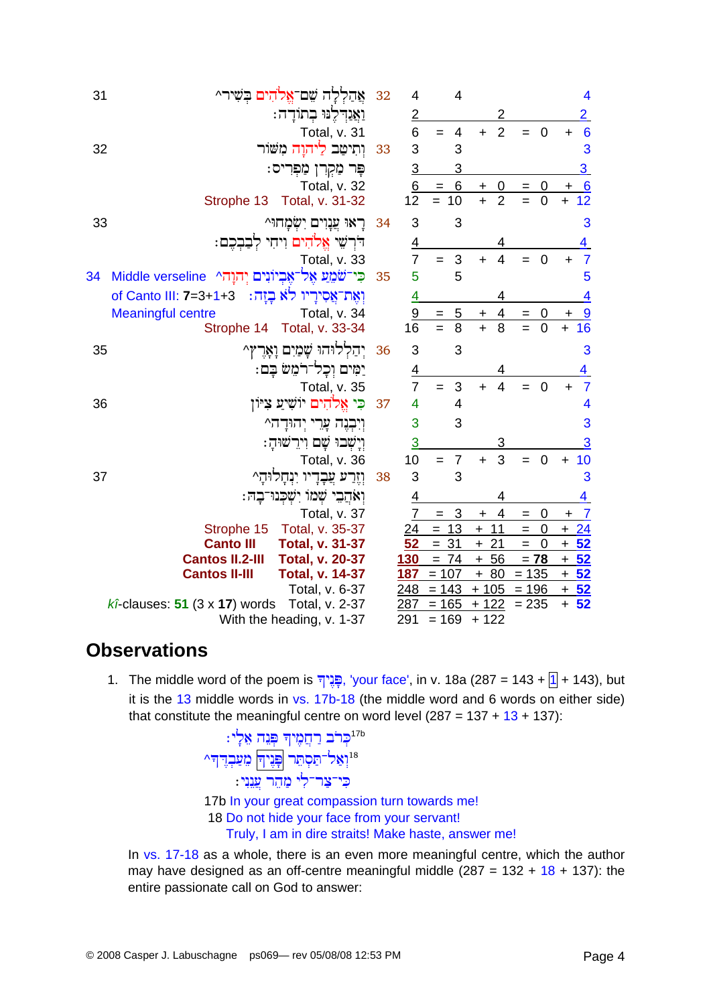| 31 | אַהַלְלַה שֵׁם־אֱלֹהִים בִשִּׁיר״                        | 32 | 4              | 4                     |                              |                         | $\overline{\mathbf{4}}$      |
|----|----------------------------------------------------------|----|----------------|-----------------------|------------------------------|-------------------------|------------------------------|
|    | וַאֲנִדְלֶנוּ בְתוֹדָה:                                  |    | $\overline{2}$ |                       | 2                            |                         | $\overline{2}$               |
|    | Total, v. 31                                             |    | 6              | 4<br>$=$              | $\overline{2}$<br>$+$        | $\overline{0}$<br>$=$   | $6\phantom{1}6$<br>$\ddot{}$ |
| 32 | ותיטב ליחוח משור                                         | 33 | 3              | 3                     |                              |                         | 3                            |
|    | פָּר מַקְרִן מַפְרִיס:                                   |    | $\overline{3}$ | 3                     |                              |                         | $\overline{3}$               |
|    | Total, v. 32                                             |    | 6              | $= 6$                 | $\overline{0}$<br>$\ddot{}$  | $=$<br>0                | 6<br>$\ddot{}$               |
|    | Strophe 13 Total, v. 31-32                               |    | 12             | $= 10$                | $\overline{2}$<br>$\ddot{+}$ | $\overline{0}$          | $\overline{12}$<br>$\ddot{}$ |
| 33 | ראוּ עֵנַוִים יִשְׂמַחוּ^                                | 34 | 3              | 3                     |                              |                         | 3                            |
|    | דִּרְשֶׁי אֱלֹהִים וִיחִי לִבַּבְכֵם:                    |    | <u>4</u>       |                       | 4                            |                         | 4                            |
|    | Total, v. 33                                             |    | $\overline{7}$ | 3<br>$=$              | $\overline{4}$<br>$\ddot{}$  | $\overline{0}$<br>$=$   | $\overline{7}$<br>$\ddot{}$  |
| 34 | תּוֹל־אֱבִיוֹנִים יְהוָהִי Middle verseline              | 35 | 5              | 5                     |                              |                         | 5                            |
|    | וַאֲת־אֵסִירֵיו לֹא בְזַה:  1+3=3+1 of Canto III: 7=3+1  |    | 4              |                       |                              |                         | 4                            |
|    | <b>Meaningful centre</b><br>Total, v. 34                 |    | 9              | 5<br>$=$              | 4<br>$\mathbf +$             | $\mathbf 0$<br>$=$      | 9                            |
|    | Total, v. 33-34<br>Strophe 14                            |    | 16             | 8<br>$=$              | $\ddot{+}$<br>8              | 0<br>$=$                | 16<br>$\ddot{}$              |
| 35 | יִהַלְלוּהוּ שָׁמַיִם וָאָרֵץ^                           | 36 | 3              | 3                     |                              |                         | 3                            |
|    | יַמִּים וְכָל־רֹמֵשׁ בָּם:                               |    | $\overline{4}$ |                       | 4                            |                         | 4                            |
|    | Total, v. 35                                             |    | $\overline{7}$ | 3<br>$=$              | $\overline{4}$<br>$+$        | $\overline{0}$          | $\overline{7}$<br>÷          |
| 36 | כִּי אֱלֹהִים יוֹשִׁיַעַ צִיּון                          | 37 | 4              | $\overline{4}$        |                              |                         | 4                            |
|    | וְיִבְנֶה עֲרֵי יְהוּדָה^                                |    | 3              | 3                     |                              |                         | 3                            |
|    | וַיַשְׁבוּ שָם וִירֵשׁוּהַ:                              |    | $\overline{3}$ |                       | 3                            |                         | 3                            |
|    | Total, v. 36                                             |    | 10             | $\overline{7}$<br>$=$ | 3<br>$\ddot{}$               | $\pmb{0}$<br>$=$        | 10<br>$\ddot{}$              |
| 37 | וִזְרַע עֲבָדָיו יִנְחָלוּהָ^                            | 38 | 3              | 3                     |                              |                         | 3                            |
|    | וְאֹהֲבֵי שָׁמוֹ יִשְׁכִּנוּ־בָה:                        |    | 4              |                       |                              |                         | 4                            |
|    | Total, v. 37                                             |    | $\overline{7}$ | 3<br>$=$              | 4<br>$\ddot{}$               | 0<br>$=$                | $\overline{7}$<br>$\ddagger$ |
|    | Total, v. 35-37<br>Strophe 15                            |    | 24             | $= 13$                | $+ 11$                       | $\boldsymbol{0}$<br>$=$ | $+24$                        |
|    | <b>Canto III</b><br><b>Total, v. 31-37</b>               |    | 52             | 31<br>$=$             | 21<br>$+$                    | $\mathbf 0$<br>$=$      | 52<br>$\ddot{}$              |
|    | <b>Cantos II.2-III</b><br><b>Total, v. 20-37</b>         |    | 130            | $= 74$                | $+56$                        | $= 78$                  | $+52$                        |
|    | <b>Cantos II-III</b><br><b>Total, v. 14-37</b>           |    | 187            | $= 107$               | $+80$                        | $= 135$                 | $+52$                        |
|    | Total, v. 6-37                                           |    | 248            | $= 143$               | $+105$                       | $= 196$                 | $\overline{+52}$             |
|    | Total, v. 2-37<br>$k\hat{i}$ -clauses: 51 (3 x 17) words |    | 287            | $= 165$               | 122<br>$\ddot{}$             | $= 235$                 | 52<br>$+$                    |
|    | With the heading, v. 1-37                                |    | 291            | $= 169$               | $+122$                       |                         |                              |
|    |                                                          |    |                |                       |                              |                         |                              |

# **Observations**

1. The middle word of the poem is יָפְּגָיךָ, 'your face', in v. 18a (287 = 143 + 1 + 143), but it is the  $13$  middle words in vs.  $17b-18$  (the middle word and 6 words on either side) that constitute the meaningful centre on word level  $(287 = 137 + 13 + 137)$ :

In vs. 17-18 as a whole, there is an even more meaningful centre, which the author may have designed as an off-centre meaningful middle  $(287 = 132 + 18 + 137)$ : the entire passionate call on God to answer: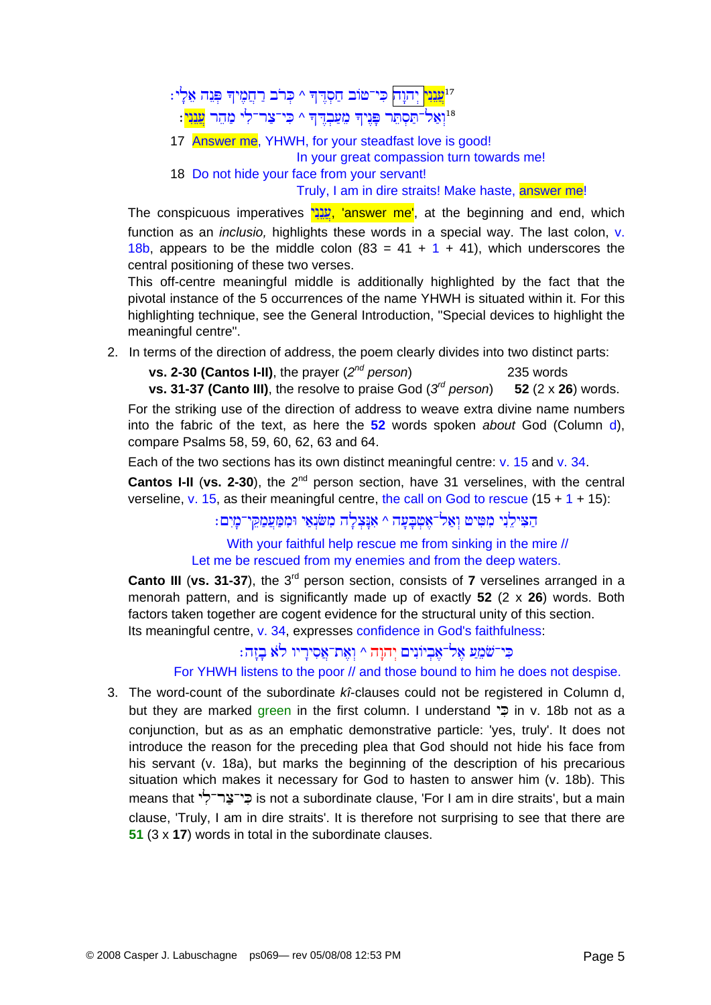<sup>13</sup>מֲנֵנִי יְהוָה ⊄י־טוֹב חַסְדֶּך ^ כְּרֹב רַחֲמֶיךָ פְּנֵה אֵלְי

- יאל־תסתר פניד מעבדד ^ כי־צר־לי מהר <mark>ענני</mark>:™
- 17 Answer me, YHWH, for your steadfast love is good! In your great compassion turn towards me!
- 18 Do not hide your face from your servant!

Truly, I am in dire straits! Make haste, answer me!

The conspicuous imperatives עֲנָנֵי, 'answer me', at the beginning and end, which function as an *inclusio,* highlights these words in a special way. The last colon, v. 18b, appears to be the middle colon  $(83 = 41 + 1 + 41)$ , which underscores the central positioning of these two verses.

This off-centre meaningful middle is additionally highlighted by the fact that the pivotal instance of the 5 occurrences of the name YHWH is situated within it. For this highlighting technique, see the General Introduction, "Special devices to highlight the meaningful centre".

2. In terms of the direction of address, the poem clearly divides into two distinct parts:

**vs. 2-30 (Cantos I-II)**, the prayer (*2nd person*) 235 words **vs. 31-37 (Canto III)**, the resolve to praise God (*3rd person*) **52** (2 x **26**) words.

For the striking use of the direction of address to weave extra divine name numbers into the fabric of the text, as here the **52** words spoken *about* God (Column d), compare Psalms 58, 59, 60, 62, 63 and 64.

Each of the two sections has its own distinct meaningful centre: v. 15 and v. 34.

**Cantos I-II** (vs. 2-30), the 2<sup>nd</sup> person section, have 31 verselines, with the central verseline, v. 15, as their meaningful centre, the call on God to rescue  $(15 + 1 + 15)$ :

 $:$ הצילני מטיט ואל־אטבעה ^ אנצלה משׂנאי וממעמקי־מים

With your faithful help rescue me from sinking in the mire // Let me be rescued from my enemies and from the deep waters.

**Canto III** (vs. 31-37), the 3<sup>rd</sup> person section, consists of 7 verselines arranged in a menorah pattern, and is significantly made up of exactly **52** (2 x **26**) words. Both factors taken together are cogent evidence for the structural unity of this section. Its meaningful centre, v. 34, expresses confidence in God's faithfulness:

#### $:$ בי־שׁמע אל־אביונים יהוה ^ ואת־אסיריו לא בזה

For YHWH listens to the poor // and those bound to him he does not despise.

3. The word-count of the subordinate *kî*-clauses could not be registered in Column d, but they are marked green in the first column. I understand  $\ddot{=}$  in v. 18b not as a conjunction, but as as an emphatic demonstrative particle: 'yes, truly'. It does not introduce the reason for the preceding plea that God should not hide his face from his servant (v. 18a), but marks the beginning of the description of his precarious situation which makes it necessary for God to hasten to answer him (v. 18b). This means that כי־צַר־לִי is not a subordinate clause, 'For I am in dire straits', but a main clause, 'Truly, I am in dire straits'. It is therefore not surprising to see that there are **51** (3 x **17**) words in total in the subordinate clauses.